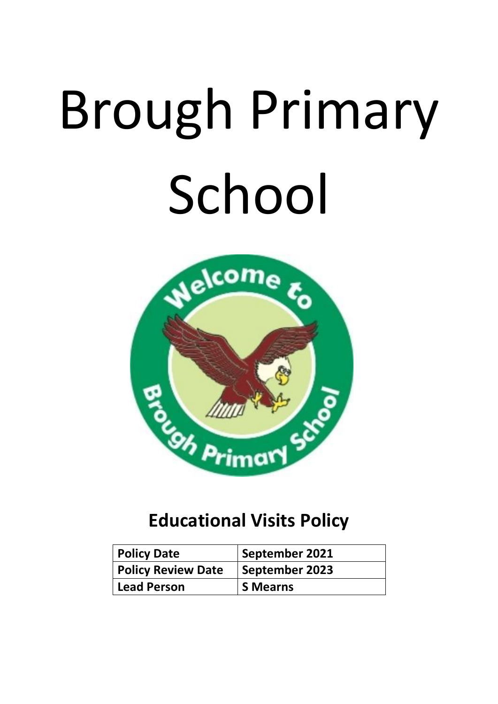# Brough Primary School



# **Educational Visits Policy**

| <b>Policy Date</b>        | September 2021  |
|---------------------------|-----------------|
| <b>Policy Review Date</b> | September 2023  |
| Lead Person               | <b>S</b> Mearns |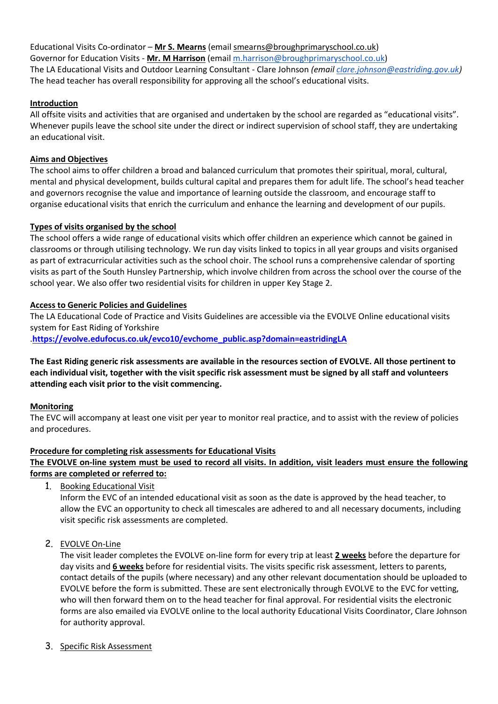Educational Visits Co-ordinator – **Mr S. Mearns** (email smearns@broughprimaryschool.co.uk) Governor for Education Visits - **Mr. M Harrison** (emai[l m.harrison@broughprimaryschool.co.uk\)](mailto:m.harrison@broughprimaryschool.co.uk) The LA Educational Visits and Outdoor Learning Consultant - Clare Johnson *(email [clare.johnson@eastriding.gov.uk\)](mailto:clare.johnson@eastriding.gov.uk)* The head teacher has overall responsibility for approving all the school's educational visits.

# **Introduction**

All offsite visits and activities that are organised and undertaken by the school are regarded as "educational visits". Whenever pupils leave the school site under the direct or indirect supervision of school staff, they are undertaking an educational visit.

# **Aims and Objectives**

The school aims to offer children a broad and balanced curriculum that promotes their spiritual, moral, cultural, mental and physical development, builds cultural capital and prepares them for adult life. The school's head teacher and governors recognise the value and importance of learning outside the classroom, and encourage staff to organise educational visits that enrich the curriculum and enhance the learning and development of our pupils.

# **Types of visits organised by the school**

The school offers a wide range of educational visits which offer children an experience which cannot be gained in classrooms or through utilising technology. We run day visits linked to topics in all year groups and visits organised as part of extracurricular activities such as the school choir. The school runs a comprehensive calendar of sporting visits as part of the South Hunsley Partnership, which involve children from across the school over the course of the school year. We also offer two residential visits for children in upper Key Stage 2.

# **Access to Generic Policies and Guidelines**

The LA Educational Code of Practice and Visits Guidelines are accessible via the EVOLVE Online educational visits system for East Riding of Yorkshire .**[https://evolve.edufocus.co.uk/evco10/evchome\\_public.asp?domain=eastridingLA](https://evolve.edufocus.co.uk/evco10/evchome_public.asp?domain=eastridingLA)**

**The East Riding generic risk assessments are available in the resources section of EVOLVE. All those pertinent to each individual visit, together with the visit specific risk assessment must be signed by all staff and volunteers attending each visit prior to the visit commencing.**

# **Monitoring**

The EVC will accompany at least one visit per year to monitor real practice, and to assist with the review of policies and procedures.

# **Procedure for completing risk assessments for Educational Visits**

**The EVOLVE on-line system must be used to record all visits. In addition, visit leaders must ensure the following forms are completed or referred to:**

1. Booking Educational Visit

Inform the EVC of an intended educational visit as soon as the date is approved by the head teacher, to allow the EVC an opportunity to check all timescales are adhered to and all necessary documents, including visit specific risk assessments are completed.

2. EVOLVE On-Line

The visit leader completes the EVOLVE on-line form for every trip at least **2 weeks** before the departure for day visits and **6 weeks** before for residential visits. The visits specific risk assessment, letters to parents, contact details of the pupils (where necessary) and any other relevant documentation should be uploaded to EVOLVE before the form is submitted. These are sent electronically through EVOLVE to the EVC for vetting, who will then forward them on to the head teacher for final approval. For residential visits the electronic forms are also emailed via EVOLVE online to the local authority Educational Visits Coordinator, Clare Johnson for authority approval.

3. Specific Risk Assessment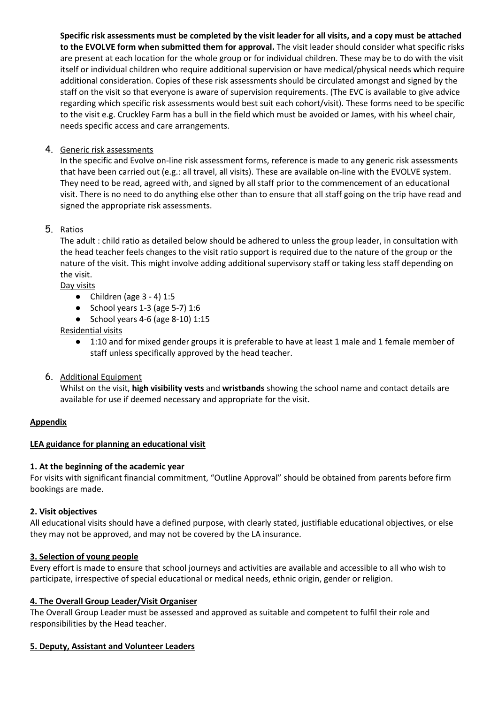**Specific risk assessments must be completed by the visit leader for all visits, and a copy must be attached to the EVOLVE form when submitted them for approval.** The visit leader should consider what specific risks are present at each location for the whole group or for individual children. These may be to do with the visit itself or individual children who require additional supervision or have medical/physical needs which require additional consideration. Copies of these risk assessments should be circulated amongst and signed by the staff on the visit so that everyone is aware of supervision requirements. (The EVC is available to give advice regarding which specific risk assessments would best suit each cohort/visit). These forms need to be specific to the visit e.g. Cruckley Farm has a bull in the field which must be avoided or James, with his wheel chair, needs specific access and care arrangements.

# 4. Generic risk assessments

In the specific and Evolve on-line risk assessment forms, reference is made to any generic risk assessments that have been carried out (e.g.: all travel, all visits). These are available on-line with the EVOLVE system. They need to be read, agreed with, and signed by all staff prior to the commencement of an educational visit. There is no need to do anything else other than to ensure that all staff going on the trip have read and signed the appropriate risk assessments.

# 5. Ratios

The adult : child ratio as detailed below should be adhered to unless the group leader, in consultation with the head teacher feels changes to the visit ratio support is required due to the nature of the group or the nature of the visit. This might involve adding additional supervisory staff or taking less staff depending on the visit.

Day visits

- $\bullet$  Children (age 3 4) 1:5
- $\bullet$  School years 1-3 (age 5-7) 1:6
- School years  $4-6$  (age  $8-10$ )  $1:15$

Residential visits

- 1:10 and for mixed gender groups it is preferable to have at least 1 male and 1 female member of staff unless specifically approved by the head teacher.
- 6. Additional Equipment

Whilst on the visit, **high visibility vests** and **wristbands** showing the school name and contact details are available for use if deemed necessary and appropriate for the visit.

# **Appendix**

# **LEA guidance for planning an educational visit**

# **1. At the beginning of the academic year**

For visits with significant financial commitment, "Outline Approval" should be obtained from parents before firm bookings are made.

#### **2. Visit objectives**

All educational visits should have a defined purpose, with clearly stated, justifiable educational objectives, or else they may not be approved, and may not be covered by the LA insurance.

#### **3. Selection of young people**

Every effort is made to ensure that school journeys and activities are available and accessible to all who wish to participate, irrespective of special educational or medical needs, ethnic origin, gender or religion.

#### **4. The Overall Group Leader/Visit Organiser**

The Overall Group Leader must be assessed and approved as suitable and competent to fulfil their role and responsibilities by the Head teacher.

#### **5. Deputy, Assistant and Volunteer Leaders**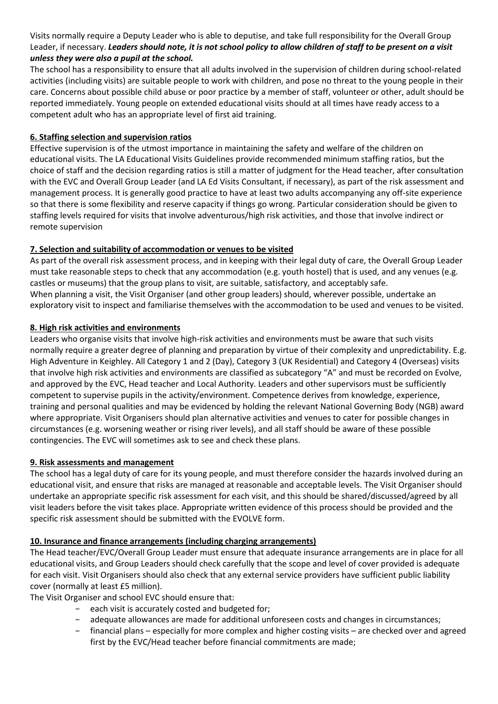Visits normally require a Deputy Leader who is able to deputise, and take full responsibility for the Overall Group Leader, if necessary. *Leaders should note, it is not school policy to allow children of staff to be present on a visit unless they were also a pupil at the school.*

The school has a responsibility to ensure that all adults involved in the supervision of children during school-related activities (including visits) are suitable people to work with children, and pose no threat to the young people in their care. Concerns about possible child abuse or poor practice by a member of staff, volunteer or other, adult should be reported immediately. Young people on extended educational visits should at all times have ready access to a competent adult who has an appropriate level of first aid training.

# **6. Staffing selection and supervision ratios**

Effective supervision is of the utmost importance in maintaining the safety and welfare of the children on educational visits. The LA Educational Visits Guidelines provide recommended minimum staffing ratios, but the choice of staff and the decision regarding ratios is still a matter of judgment for the Head teacher, after consultation with the EVC and Overall Group Leader (and LA Ed Visits Consultant, if necessary), as part of the risk assessment and management process. It is generally good practice to have at least two adults accompanying any off-site experience so that there is some flexibility and reserve capacity if things go wrong. Particular consideration should be given to staffing levels required for visits that involve adventurous/high risk activities, and those that involve indirect or remote supervision

# **7. Selection and suitability of accommodation or venues to be visited**

As part of the overall risk assessment process, and in keeping with their legal duty of care, the Overall Group Leader must take reasonable steps to check that any accommodation (e.g. youth hostel) that is used, and any venues (e.g. castles or museums) that the group plans to visit, are suitable, satisfactory, and acceptably safe. When planning a visit, the Visit Organiser (and other group leaders) should, wherever possible, undertake an exploratory visit to inspect and familiarise themselves with the accommodation to be used and venues to be visited.

# **8. High risk activities and environments**

Leaders who organise visits that involve high-risk activities and environments must be aware that such visits normally require a greater degree of planning and preparation by virtue of their complexity and unpredictability. E.g. High Adventure in Keighley. All Category 1 and 2 (Day), Category 3 (UK Residential) and Category 4 (Overseas) visits that involve high risk activities and environments are classified as subcategory "A" and must be recorded on Evolve, and approved by the EVC, Head teacher and Local Authority. Leaders and other supervisors must be sufficiently competent to supervise pupils in the activity/environment. Competence derives from knowledge, experience, training and personal qualities and may be evidenced by holding the relevant National Governing Body (NGB) award where appropriate. Visit Organisers should plan alternative activities and venues to cater for possible changes in circumstances (e.g. worsening weather or rising river levels), and all staff should be aware of these possible contingencies. The EVC will sometimes ask to see and check these plans.

# **9. Risk assessments and management**

The school has a legal duty of care for its young people, and must therefore consider the hazards involved during an educational visit, and ensure that risks are managed at reasonable and acceptable levels. The Visit Organiser should undertake an appropriate specific risk assessment for each visit, and this should be shared/discussed/agreed by all visit leaders before the visit takes place. Appropriate written evidence of this process should be provided and the specific risk assessment should be submitted with the EVOLVE form.

# **10. Insurance and finance arrangements (including charging arrangements)**

The Head teacher/EVC/Overall Group Leader must ensure that adequate insurance arrangements are in place for all educational visits, and Group Leaders should check carefully that the scope and level of cover provided is adequate for each visit. Visit Organisers should also check that any external service providers have sufficient public liability cover (normally at least £5 million).

The Visit Organiser and school EVC should ensure that:

- − each visit is accurately costed and budgeted for;
- − adequate allowances are made for additional unforeseen costs and changes in circumstances;
- financial plans especially for more complex and higher costing visits are checked over and agreed first by the EVC/Head teacher before financial commitments are made;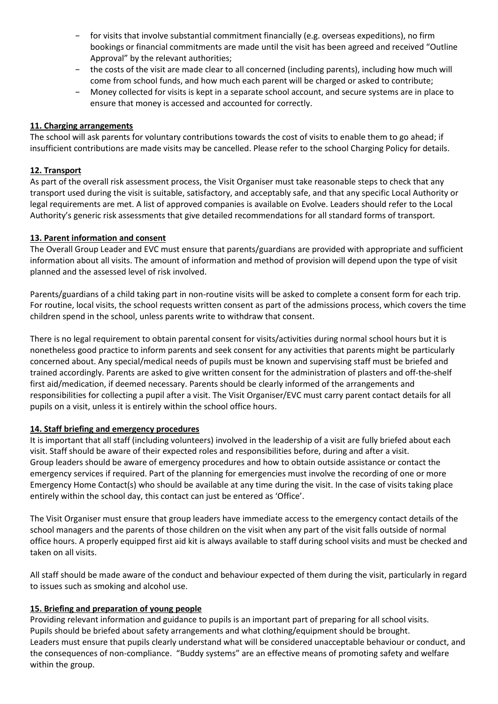- for visits that involve substantial commitment financially (e.g. overseas expeditions), no firm bookings or financial commitments are made until the visit has been agreed and received "Outline Approval" by the relevant authorities;
- − the costs of the visit are made clear to all concerned (including parents), including how much will come from school funds, and how much each parent will be charged or asked to contribute;
- − Money collected for visits is kept in a separate school account, and secure systems are in place to ensure that money is accessed and accounted for correctly.

# **11. Charging arrangements**

The school will ask parents for voluntary contributions towards the cost of visits to enable them to go ahead; if insufficient contributions are made visits may be cancelled. Please refer to the school Charging Policy for details.

#### **12. Transport**

As part of the overall risk assessment process, the Visit Organiser must take reasonable steps to check that any transport used during the visit is suitable, satisfactory, and acceptably safe, and that any specific Local Authority or legal requirements are met. A list of approved companies is available on Evolve. Leaders should refer to the Local Authority's generic risk assessments that give detailed recommendations for all standard forms of transport.

#### **13. Parent information and consent**

The Overall Group Leader and EVC must ensure that parents/guardians are provided with appropriate and sufficient information about all visits. The amount of information and method of provision will depend upon the type of visit planned and the assessed level of risk involved.

Parents/guardians of a child taking part in non-routine visits will be asked to complete a consent form for each trip. For routine, local visits, the school requests written consent as part of the admissions process, which covers the time children spend in the school, unless parents write to withdraw that consent.

There is no legal requirement to obtain parental consent for visits/activities during normal school hours but it is nonetheless good practice to inform parents and seek consent for any activities that parents might be particularly concerned about. Any special/medical needs of pupils must be known and supervising staff must be briefed and trained accordingly. Parents are asked to give written consent for the administration of plasters and off-the-shelf first aid/medication, if deemed necessary. Parents should be clearly informed of the arrangements and responsibilities for collecting a pupil after a visit. The Visit Organiser/EVC must carry parent contact details for all pupils on a visit, unless it is entirely within the school office hours.

# **14. Staff briefing and emergency procedures**

It is important that all staff (including volunteers) involved in the leadership of a visit are fully briefed about each visit. Staff should be aware of their expected roles and responsibilities before, during and after a visit. Group leaders should be aware of emergency procedures and how to obtain outside assistance or contact the emergency services if required. Part of the planning for emergencies must involve the recording of one or more Emergency Home Contact(s) who should be available at any time during the visit. In the case of visits taking place entirely within the school day, this contact can just be entered as 'Office'.

The Visit Organiser must ensure that group leaders have immediate access to the emergency contact details of the school managers and the parents of those children on the visit when any part of the visit falls outside of normal office hours. A properly equipped first aid kit is always available to staff during school visits and must be checked and taken on all visits.

All staff should be made aware of the conduct and behaviour expected of them during the visit, particularly in regard to issues such as smoking and alcohol use.

#### **15. Briefing and preparation of young people**

Providing relevant information and guidance to pupils is an important part of preparing for all school visits. Pupils should be briefed about safety arrangements and what clothing/equipment should be brought. Leaders must ensure that pupils clearly understand what will be considered unacceptable behaviour or conduct, and the consequences of non-compliance. "Buddy systems" are an effective means of promoting safety and welfare within the group.